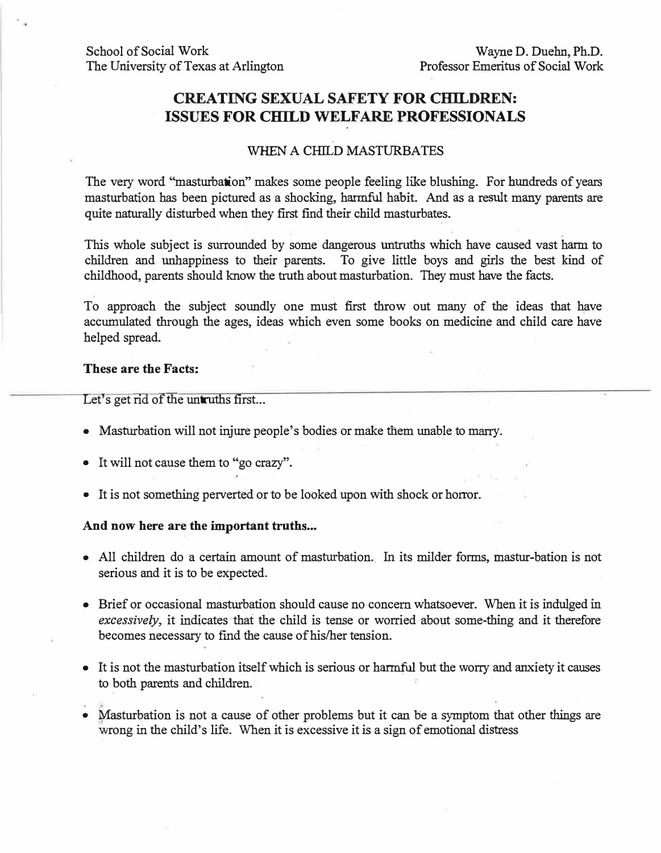### **CREATING SEXUAL SAFETY FOR CHILDREN: ISSUES FOR CHILD WELFARE PROFESSIONALS**

#### WHEN A CHILD MASTURBATES

The very word "masturbation" makes some people feeling like blushing. For hundreds of years masturbation has been pictured as a shocking, harmful habit. And as a result many parents are quite naturally disturbed when they first find their child masturbates.

This whole subject is surrounded by some dangerous untruths which have caused vast harm to children and unhappiness to their parents. To give little boys and girls the best kind of childhood, parents should know the truth about masturbation. They must have the facts.

To approach the subject soundly one must first throw out many of the ideas that have accumulated through the ages, ideas which even some books on medicine and child care have helped spread.

#### **These are the Facts:**

Let's get  $\overrightarrow{rd}$  of the untruths first...

- Masturbation will not injure people's bodies or make them unable to marry.
- It will not cause them to "go crazy".
- It is not something perverted or to be looked upon with shock or horror.

#### And now here are the important truths...

- All children do a certain amount of masturbation. In its milder forms, mastur-bation is not serious and it is to be expected.
- Brief or occasional masturbation should cause no concern whatsoever. When it is indulged in *excessively,* it indicates that the child is tense or worried about some-thing and it therefore becomes necessary to find the cause of his/her tension.
- It is not the masturbation itself which is serious or harmful but the worry and anxiety it causes to both parents and children.
- Masturbation is not a cause of other problems but it can be a symptom that other things are wrong in the child's life. When it is excessive it is a sign of emotional distress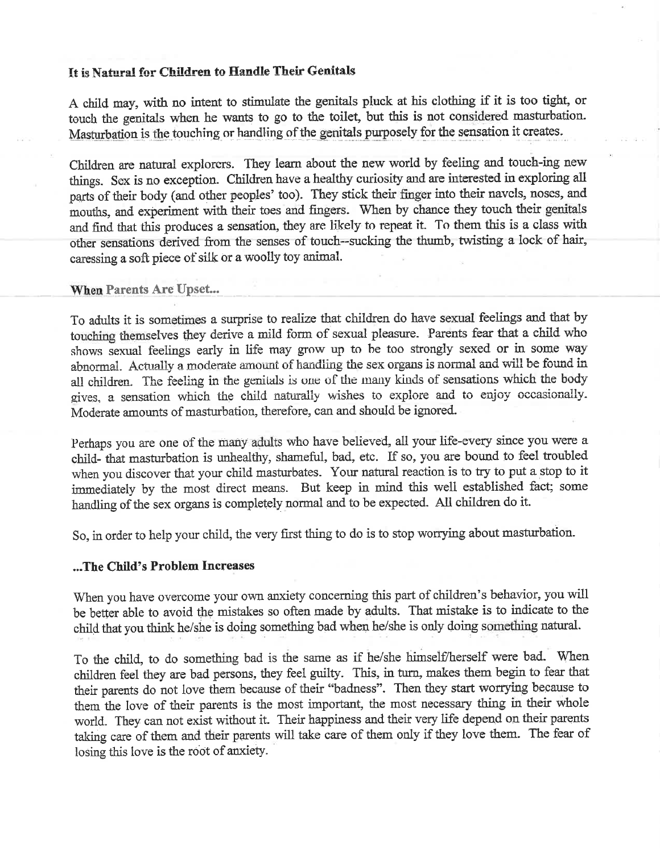#### It is Natural for Children to Handle Their Genitals

A child may, with no intent to stimulate the genitals pluck at his clothing if it is too tight, or touch the genitals when he wants to go to the toilet, but this is not considered masturbation. Masturbation is the touching or handling of the genitals purposely for the sensation it creates.

Children are natural explorers. They learn about the new world by feeling and touch-ing new things. Sex is no exception. Children have a healthy curiosity and are interested in exploring all parts of their body (and other peoples' too). They stick their finger into their navels, noses, and mouths, and experiment with their toes and fingers. When by chance they touch their genitals and find that this produces a sensation, they are likely to repeat it. To them this is a class with other sensations derived from the senses of touch--sucking the thumb, twisting a lock of hair, caressing a soft piece of silk or a woolly toy animal.

#### **When Parents Are Upset...**

To adults it is sometimes a surprise to realize that children do have sexual feelings and that by touching themselves they derive a mild form of sexual pleasure. Parents fear that a child who shows sexual feelings early in life may grow up to be too strongly sexed or in some way abnormal. Actually a moderate amount of handling the sex organs is normal and will be found in all children. The feeling in the genitals is one of the many kinds of sensations which the body gives, a sensation which the child naturally wishes to explore and to enjoy occasionally. Moderate amounts of masturbation, therefore, can and should be ignored.

Perhaps you are one of the many adults who have believed, all your life-every since you were a child- that masturbation is unhealthy, shameful, bad, etc. If so, you are bound to feel troubled when you discover that your child masturbates. Your natural reaction is to try to put a stop to it immediately by the most direct means. But keep in mind this well established fact; some handling of the sex organs is completely normal and to be expected. All children do it.

So, in order to help your child, the very first thing to do is to stop worrying about masturbation.

#### ...The Child's Problem Increases

When you have overcome your own anxiety concerning this part of children's behavior, you will be better able to avoid the mistakes so often made by adults. That mistake is to indicate to the child that you think he/she is doing something bad when he/she is only doing something natural.

To the child, to do something bad is the same as if he/she himself/herself were bad. When children feel they are bad persons, they feel guilty. This, in turn, makes them begin to fear that their parents do not love them because of their "badness". Then they start worrying because to them the love of their parents is the most important, the most necessary thing in their whole world. They can not exist without it. Their happiness and their very life depend on their parents taking care of them and their parents will take care of them only if they love them. The fear of losing this love is the root of anxiety.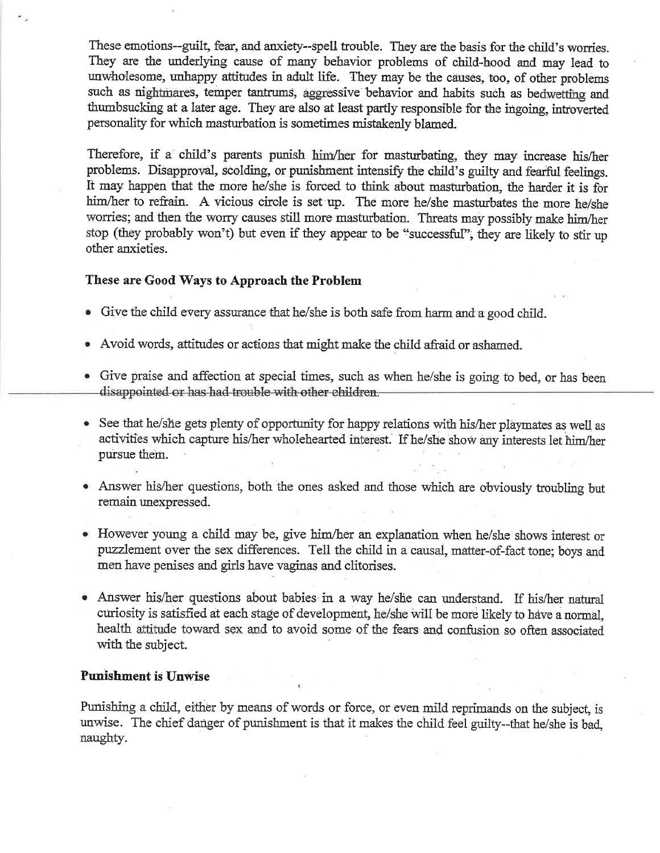These emotions--guilt, fear, and anxiety--spell trouble. They are the basis for the child's worries. They are the underlying cause of many behavior problems of child-hood and may lead to unwholesome, unhappy attitudes in adult life. They may be the causes, too, of other problems such as nightmares, temper tantrums, aggressive behavior and habits such as bedwetting and thumbsucking at a later age. They are also at least partly responsible for the ingoing, introverted personality for which masturbation is sometimes mistakenly blamed.

Therefore, if a child's parents punish him/her for masturbating, they may increase his/her problems. Disapproval, scolding, or punishment intensify the child's guilty and fearful feelings. It may happen that the more he/she is forced to think about masturbation, the harder it is for him/her to refrain. A vicious circle is set up. The more he/she masturbates the more he/she worries; and then the worry causes still more masturbation. Threats may possibly make him/her stop (they probably won't) but even if they appear to be "successful", they are likely to stir up other anxieties.

#### These are Good Ways to Approach the Problem

- Give the child every assurance that he/she is both safe from harm and a good child.
- Avoid words, attitudes or actions that might make the child afraid or ashamed.
- Give praise and affection at special times, such as when he/she is going to bed, or has been disappointed or has had trouble with other children.
- See that he/she gets plenty of opportunity for happy relations with his/her playmates as well as activities which capture his/her wholehearted interest. If he/she show any interests let him/her pursue them.
- Answer his/her questions, both the ones asked and those which are obviously troubling but remain unexpressed.
- However young a child may be, give him/her an explanation when he/she shows interest or puzzlement over the sex differences. Tell the child in a causal, matter-of-fact tone; boys and men have penises and girls have vaginas and clitorises.
- Answer his/her questions about babies in a way he/she can understand. If his/her natural curiosity is satisfied at each stage of development, he/she will be more likely to have a normal, health attitude toward sex and to avoid some of the fears and confusion so often associated with the subject.

#### **Punishment is Unwise**

Punishing a child, either by means of words or force, or even mild reprimands on the subject, is unwise. The chief danger of punishment is that it makes the child feel guilty--that he/she is bad. naughty.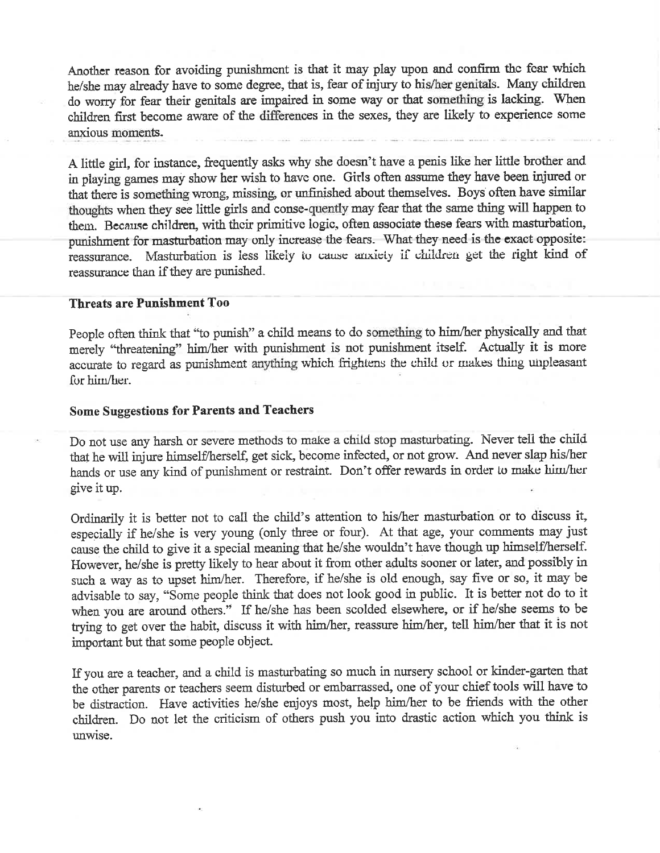Another reason for avoiding punishment is that it may play upon and confirm the fear which he/she may already have to some degree, that is, fear of injury to his/her genitals. Many children do worry for fear their genitals are impaired in some way or that something is lacking. When children first become aware of the differences in the sexes, they are likely to experience some anxious moments.

A little girl, for instance, frequently asks why she doesn't have a penis like her little brother and in playing games may show her wish to have one. Girls often assume they have been injured or that there is something wrong, missing, or unfinished about themselves. Boys often have similar thoughts when they see little girls and conse-quently may fear that the same thing will happen to them. Because children, with their primitive logic, often associate these fears with masturbation, punishment for masturbation may only increase the fears. What they need is the exact opposite: Masturbation is less likely to cause anxiety if children get the right kind of reassurance. reassurance than if they are punished.

#### **Threats are Punishment Too**

People often think that "to punish" a child means to do something to him/her physically and that merely "threatening" him/her with punishment is not punishment itself. Actually it is more accurate to regard as punishment anything which frightens the child or makes thing unpleasant for him/her.

#### **Some Suggestions for Parents and Teachers**

Do not use any harsh or severe methods to make a child stop masturbating. Never tell the child that he will injure himself/herself, get sick, become infected, or not grow. And never slap his/her hands or use any kind of punishment or restraint. Don't offer rewards in order to make him/her give it up.

Ordinarily it is better not to call the child's attention to his/her masturbation or to discuss it, especially if he/she is very young (only three or four). At that age, your comments may just cause the child to give it a special meaning that he/she wouldn't have though up himself/herself. However, he/she is pretty likely to hear about it from other adults sooner or later, and possibly in such a way as to upset him/her. Therefore, if he/she is old enough, say five or so, it may be advisable to say, "Some people think that does not look good in public. It is better not do to it when you are around others." If he/she has been scolded elsewhere, or if he/she seems to be trying to get over the habit, discuss it with him/her, reassure him/her, tell him/her that it is not important but that some people object.

If you are a teacher, and a child is masturbating so much in nursery school or kinder-garten that the other parents or teachers seem disturbed or embarrassed, one of your chief tools will have to be distraction. Have activities he/she enjoys most, help him/her to be friends with the other children. Do not let the criticism of others push you into drastic action which you think is unwise.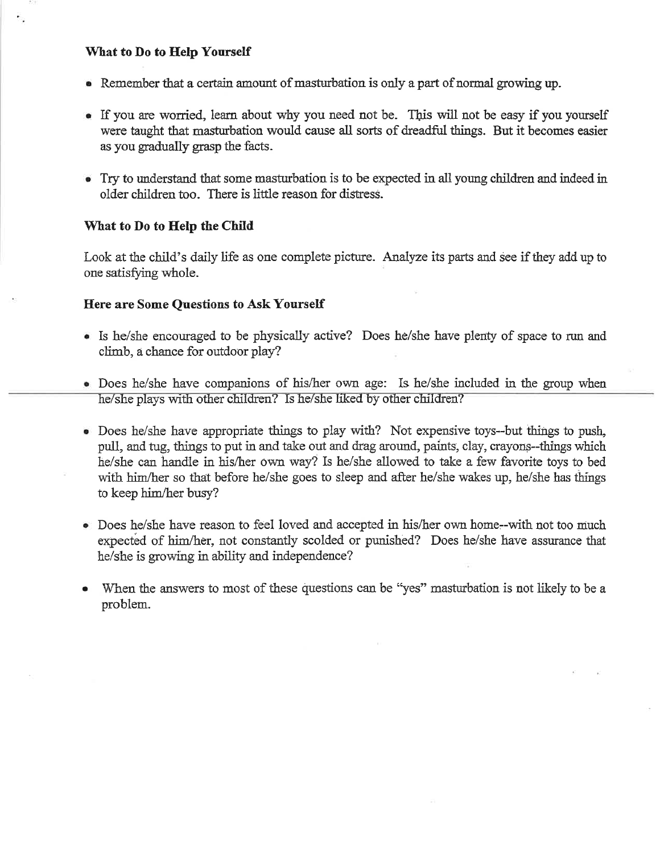#### What to Do to Help Yourself

- Remember that a certain amount of masturbation is only a part of normal growing up.
- If you are worried, learn about why you need not be. This will not be easy if you yourself were taught that masturbation would cause all sorts of dreadful things. But it becomes easier as you gradually grasp the facts.
- Try to understand that some masturbation is to be expected in all young children and indeed in older children too. There is little reason for distress.

#### What to Do to Help the Child

Look at the child's daily life as one complete picture. Analyze its parts and see if they add up to one satisfying whole.

#### **Here are Some Questions to Ask Yourself**

- Is he/she encouraged to be physically active? Does he/she have plenty of space to run and climb, a chance for outdoor play?
- Does he/she have companions of his/her own age: Is he/she included in the group when he/she plays with other children? Is he/she liked by other children?
- Does he/she have appropriate things to play with? Not expensive toys--but things to push, pull, and tug, things to put in and take out and drag around, paints, clay, crayons--things which he/she can handle in his/her own way? Is he/she allowed to take a few favorite toys to bed with him/her so that before he/she goes to sleep and after he/she wakes up, he/she has things to keep him/her busy?
- Does he/she have reason to feel loved and accepted in his/her own home-with not too much expected of him/her, not constantly scolded or punished? Does he/she have assurance that he/she is growing in ability and independence?
- When the answers to most of these questions can be "yes" masturbation is not likely to be a problem.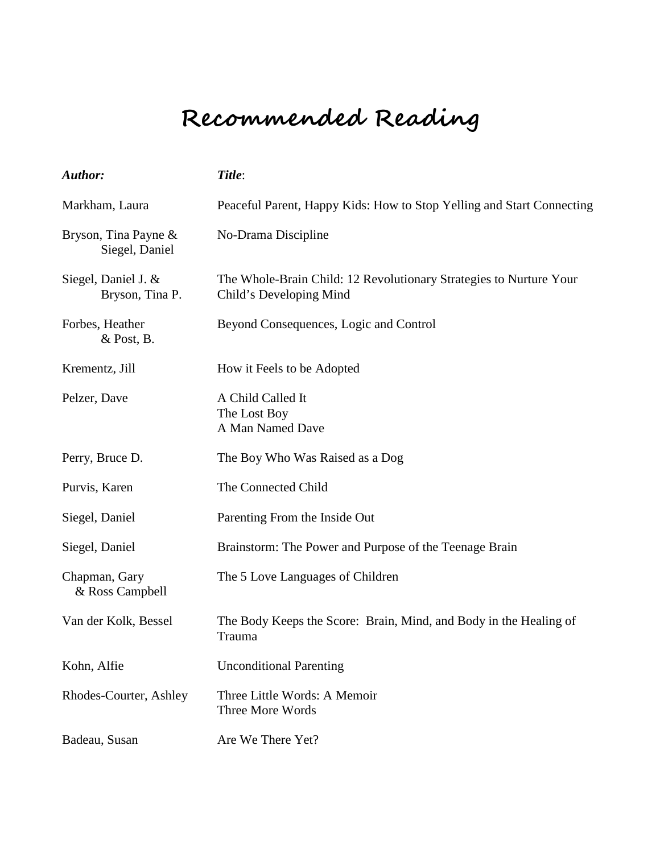# **Recommended Reading**

| Author:                                | Title:                                                                                        |
|----------------------------------------|-----------------------------------------------------------------------------------------------|
| Markham, Laura                         | Peaceful Parent, Happy Kids: How to Stop Yelling and Start Connecting                         |
| Bryson, Tina Payne &<br>Siegel, Daniel | No-Drama Discipline                                                                           |
| Siegel, Daniel J. &<br>Bryson, Tina P. | The Whole-Brain Child: 12 Revolutionary Strategies to Nurture Your<br>Child's Developing Mind |
| Forbes, Heather<br>$&$ Post, B.        | Beyond Consequences, Logic and Control                                                        |
| Krementz, Jill                         | How it Feels to be Adopted                                                                    |
| Pelzer, Dave                           | A Child Called It<br>The Lost Boy<br>A Man Named Dave                                         |
| Perry, Bruce D.                        | The Boy Who Was Raised as a Dog                                                               |
| Purvis, Karen                          | The Connected Child                                                                           |
| Siegel, Daniel                         | Parenting From the Inside Out                                                                 |
| Siegel, Daniel                         | Brainstorm: The Power and Purpose of the Teenage Brain                                        |
| Chapman, Gary<br>& Ross Campbell       | The 5 Love Languages of Children                                                              |
| Van der Kolk, Bessel                   | The Body Keeps the Score: Brain, Mind, and Body in the Healing of<br>Trauma                   |
| Kohn, Alfie                            | <b>Unconditional Parenting</b>                                                                |
| Rhodes-Courter, Ashley                 | Three Little Words: A Memoir<br>Three More Words                                              |
| Badeau, Susan                          | Are We There Yet?                                                                             |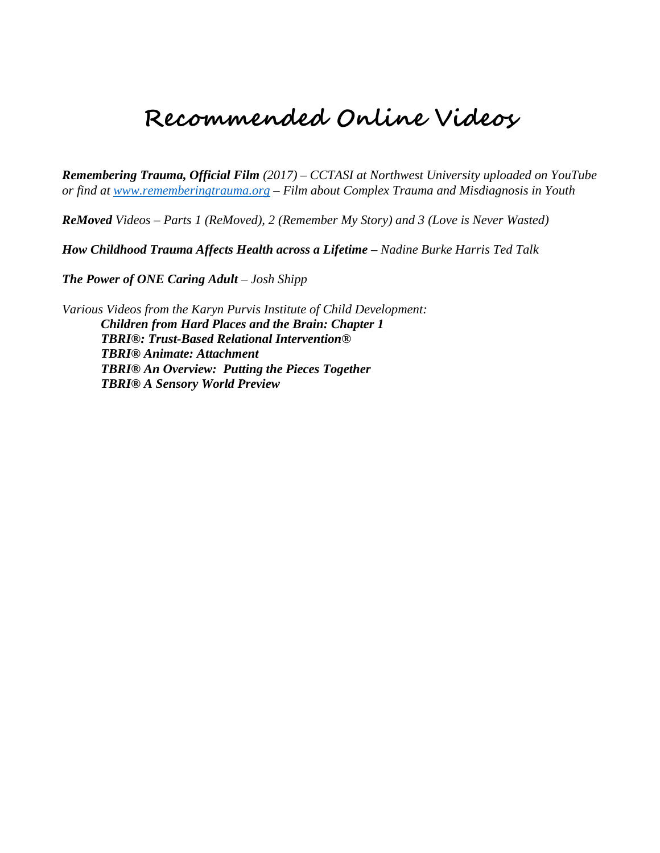## **Recommended Online Videos**

*Remembering Trauma, Official Film (2017) – CCTASI at Northwest University uploaded on YouTube or find at [www.rememberingtrauma.org](http://www.rememberingtrauma.org/) – Film about Complex Trauma and Misdiagnosis in Youth*

*ReMoved Videos – Parts 1 (ReMoved), 2 (Remember My Story) and 3 (Love is Never Wasted)* 

*How Childhood Trauma Affects Health across a Lifetime – Nadine Burke Harris Ted Talk*

*The Power of ONE Caring Adult – Josh Shipp*

*Various Videos from the Karyn Purvis Institute of Child Development: Children from Hard Places and the Brain: Chapter 1 TBRI®: Trust-Based Relational Intervention® TBRI® Animate: Attachment TBRI® An Overview: Putting the Pieces Together TBRI® A Sensory World Preview*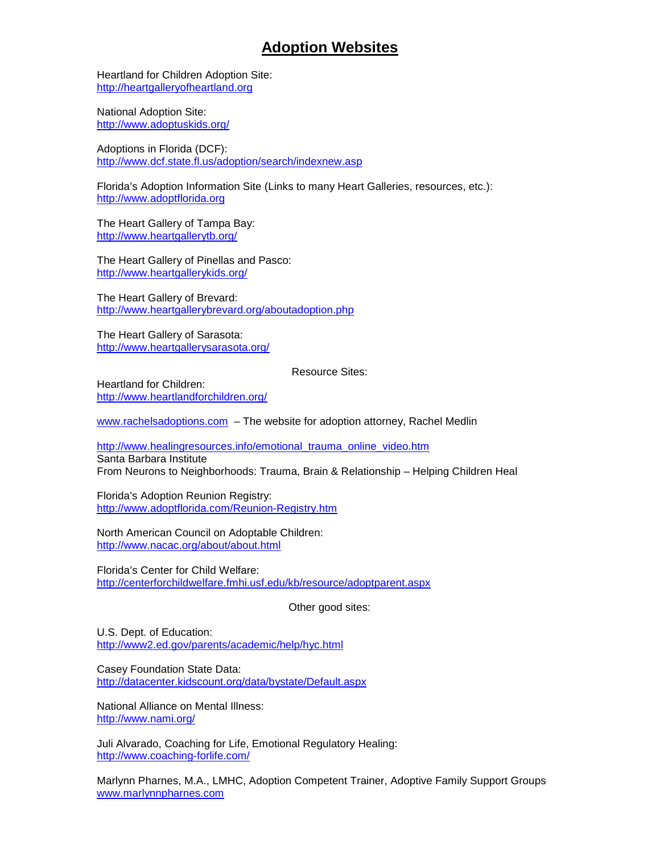#### **Adoption Websites**

Heartland for Children Adoption Site: [http://heartgalleryofheartland.org](http://heartgalleryofheartland.org/)

National Adoption Site: <http://www.adoptuskids.org/>

Adoptions in Florida (DCF): <http://www.dcf.state.fl.us/adoption/search/indexnew.asp>

Florida's Adoption Information Site (Links to many Heart Galleries, resources, etc.): [http://www.adoptflorida.org](http://www.adoptflorida.org/)

The Heart Gallery of Tampa Bay: <http://www.heartgallerytb.org/>

The Heart Gallery of Pinellas and Pasco: <http://www.heartgallerykids.org/>

The Heart Gallery of Brevard: http://www.heartgallerybrevard.org/aboutadoption.php

The Heart Gallery of Sarasota: http://www.heartgallerysarasota.org/

Resource Sites:

Heartland for Children: http://www.heartlandforchildren.org/

[www.rachelsadoptions.com](http://www.rachelsadoptions.com/) – The website for adoption attorney, Rachel Medlin

[http://www.healingresources.info/emotional\\_trauma\\_online\\_video.htm](http://www.healingresources.info/emotional_trauma_online_video.htm) Santa Barbara Institute From Neurons to Neighborhoods: Trauma, Brain & Relationship – Helping Children Heal

Florida's Adoption Reunion Registry: <http://www.adoptflorida.com/Reunion-Registry.htm>

North American Council on Adoptable Children: http://www.nacac.org/about/about.html

Florida's Center for Child Welfare: <http://centerforchildwelfare.fmhi.usf.edu/kb/resource/adoptparent.aspx>

Other good sites:

U.S. Dept. of Education: <http://www2.ed.gov/parents/academic/help/hyc.html>

Casey Foundation State Data: <http://datacenter.kidscount.org/data/bystate/Default.aspx>

National Alliance on Mental Illness: <http://www.nami.org/>

Juli Alvarado, Coaching for Life, Emotional Regulatory Healing: <http://www.coaching-forlife.com/>

Marlynn Pharnes, M.A., LMHC, Adoption Competent Trainer, Adoptive Family Support Groups [www.marlynnpharnes.com](http://www.marlynnpharnes.com/)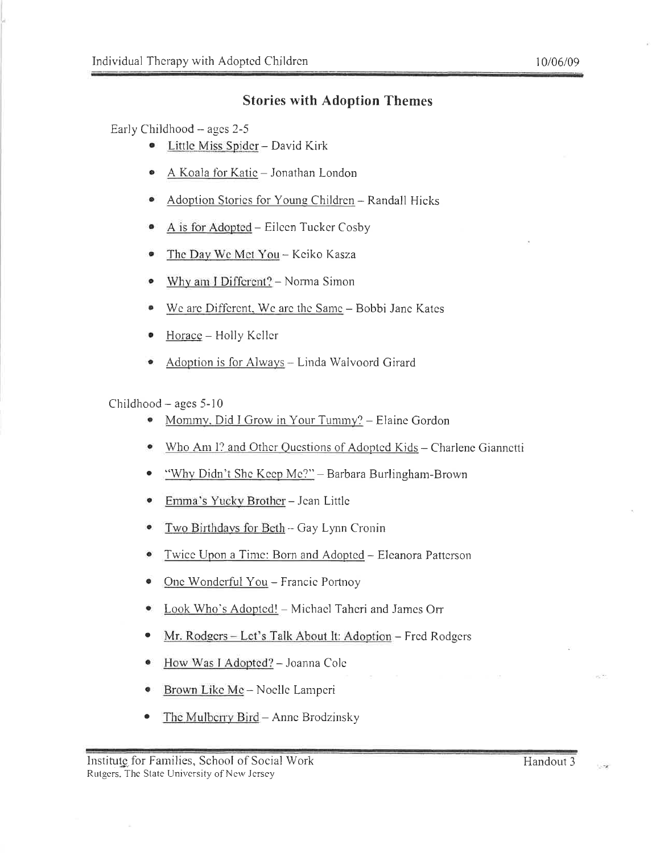#### **Stories with Adoption Themes**

Early Childhood - ages 2-5

- Little Miss Spider David Kirk  $\bullet$
- A Koala for Katic Jonathan London
- Adoption Stories for Young Children Randall Hicks
- A is for Adopted Eileen Tucker Cosby ۰
- The Day We Met You Keiko Kasza
- Why am I Different? Norma Simon ۰
- We are Different, We are the Same Bobbi Jane Kates ۰
- Horace Holly Keller
- Adoption is for Always Linda Walvoord Girard

#### Childhood  $-$  ages 5-10

- Mommy, Did I Grow in Your Tummy? Elaine Gordon
- Who Am I? and Other Questions of Adopted Kids Charlene Giannetti
- "Why Didn't She Keep Me?" Barbara Burlingham-Brown  $\bullet$
- Emma's Yucky Brother Jean Little ۰
- Two Birthdays for Beth Gay Lynn Cronin  $\bullet$
- Twice Upon a Time: Born and Adopted Eleanora Patterson
- One Wonderful You Francie Portnoy  $\bullet$
- Look Who's Adopted! Michael Taheri and James Orr
- Mr. Rodgers Let's Talk About It: Adoption Fred Rodgers  $\bullet$
- e How Was J Adopted? - Joanna Cole
- Brown Like Me Noelle Lamperi  $\bullet$
- The Mulberry Bird Anne Brodzinsky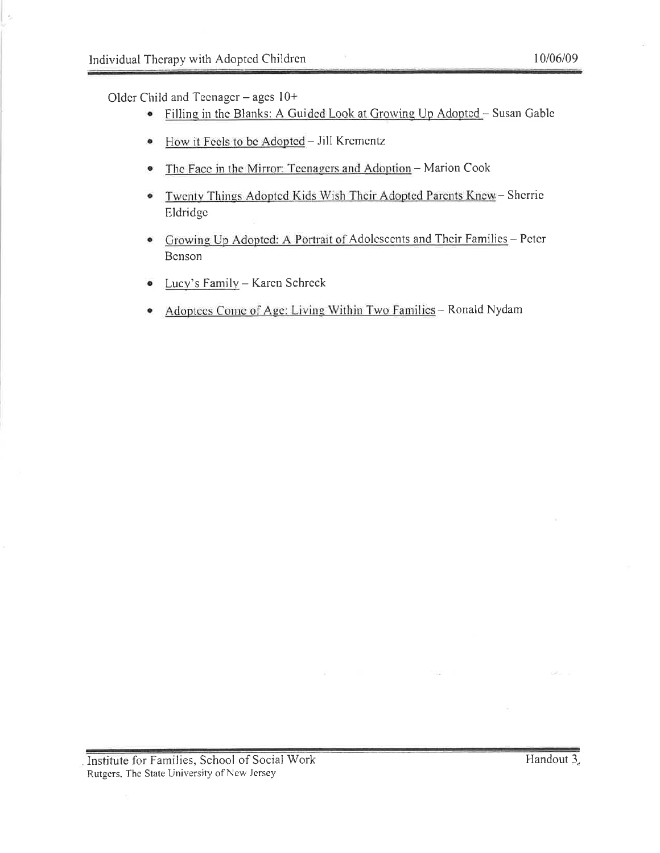Older Child and Teenager - ages  $10+$ 

- Filling in the Blanks: A Guided Look at Growing Up Adopted Susan Gable  $\bullet$
- How it Feels to be Adopted Jill Krementz  $\bullet$
- The Face in the Mirror: Teenagers and Adoption Marion Cook  $\bullet$
- Twenty Things Adopted Kids Wish Their Adopted Parents Knew Sherrie  $\bullet$ Eldridge
- Growing Up Adopted: A Portrait of Adolescents and Their Families Peter  $\bullet$ Benson
- Lucy's Family Karen Schreck  $\bullet$
- Adoptees Come of Age: Living Within Two Families Ronald Nydam

V.S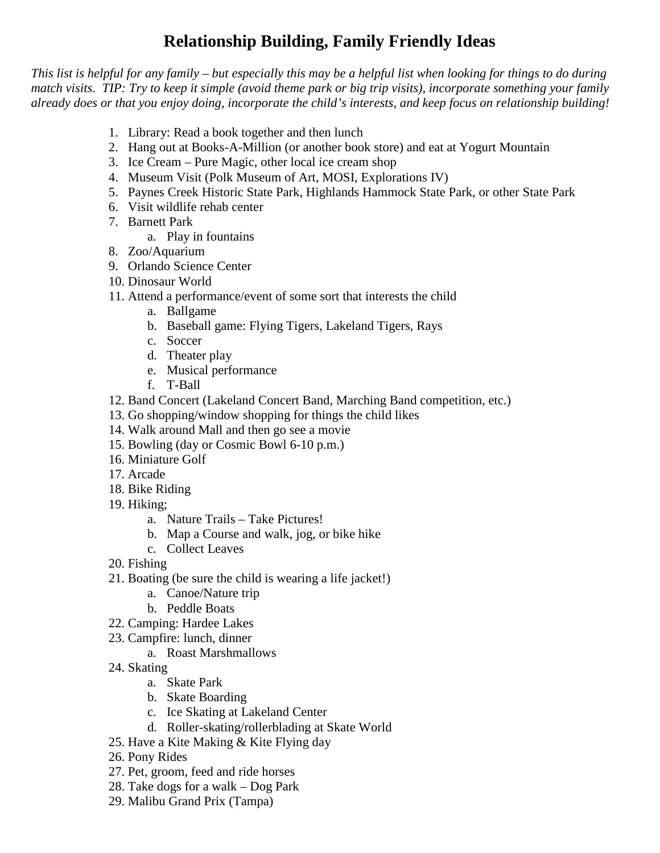### **Relationship Building, Family Friendly Ideas**

*This list is helpful for any family – but especially this may be a helpful list when looking for things to do during match visits. TIP: Try to keep it simple (avoid theme park or big trip visits), incorporate something your family already does or that you enjoy doing, incorporate the child's interests, and keep focus on relationship building!* 

- 1. Library: Read a book together and then lunch
- 2. Hang out at Books-A-Million (or another book store) and eat at Yogurt Mountain
- 3. Ice Cream Pure Magic, other local ice cream shop
- 4. Museum Visit (Polk Museum of Art, MOSI, Explorations IV)
- 5. Paynes Creek Historic State Park, Highlands Hammock State Park, or other State Park
- 6. Visit wildlife rehab center
- 7. Barnett Park
	- a. Play in fountains
- 8. Zoo/Aquarium
- 9. Orlando Science Center
- 10. Dinosaur World
- 11. Attend a performance/event of some sort that interests the child
	- a. Ballgame
	- b. Baseball game: Flying Tigers, Lakeland Tigers, Rays
	- c. Soccer
	- d. Theater play
	- e. Musical performance
	- f. T-Ball
- 12. Band Concert (Lakeland Concert Band, Marching Band competition, etc.)
- 13. Go shopping/window shopping for things the child likes
- 14. Walk around Mall and then go see a movie
- 15. Bowling (day or Cosmic Bowl 6-10 p.m.)
- 16. Miniature Golf
- 17. Arcade
- 18. Bike Riding
- 19. Hiking;
	- a. Nature Trails Take Pictures!
	- b. Map a Course and walk, jog, or bike hike
	- c. Collect Leaves
- 20. Fishing
- 21. Boating (be sure the child is wearing a life jacket!)
	- a. Canoe/Nature trip
	- b. Peddle Boats
- 22. Camping: Hardee Lakes
- 23. Campfire: lunch, dinner
	- a. Roast Marshmallows
- 24. Skating
	- a. Skate Park
	- b. Skate Boarding
	- c. Ice Skating at Lakeland Center
	- d. Roller-skating/rollerblading at Skate World
- 25. Have a Kite Making & Kite Flying day
- 26. Pony Rides
- 27. Pet, groom, feed and ride horses
- 28. Take dogs for a walk Dog Park
- 29. Malibu Grand Prix (Tampa)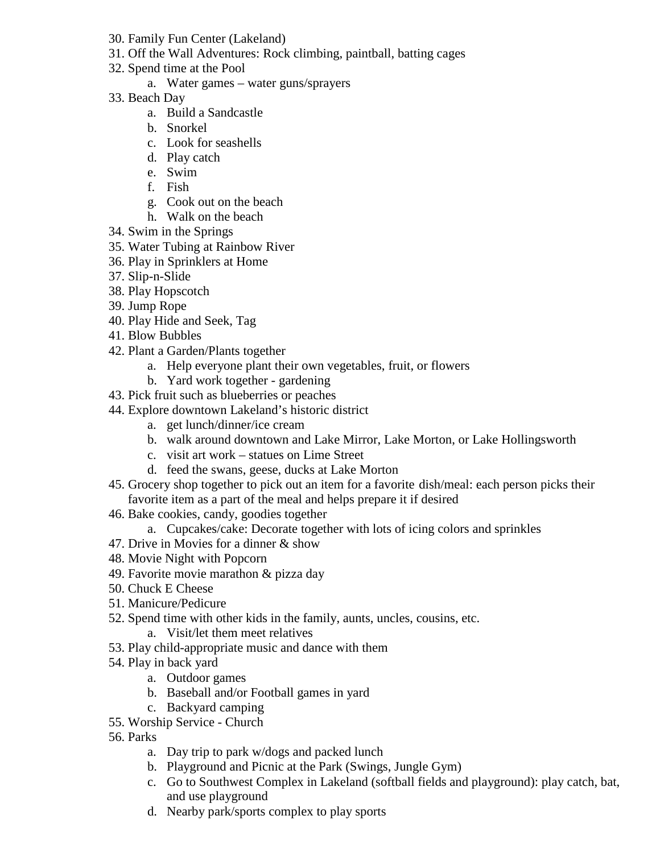- 30. Family Fun Center (Lakeland)
- 31. Off the Wall Adventures: Rock climbing, paintball, batting cages
- 32. Spend time at the Pool
	- a. Water games water guns/sprayers
- 33. Beach Day
	- a. Build a Sandcastle
	- b. Snorkel
	- c. Look for seashells
	- d. Play catch
	- e. Swim
	- f. Fish
	- g. Cook out on the beach
	- h. Walk on the beach
- 34. Swim in the Springs
- 35. Water Tubing at Rainbow River
- 36. Play in Sprinklers at Home
- 37. Slip-n-Slide
- 38. Play Hopscotch
- 39. Jump Rope
- 40. Play Hide and Seek, Tag
- 41. Blow Bubbles
- 42. Plant a Garden/Plants together
	- a. Help everyone plant their own vegetables, fruit, or flowers
	- b. Yard work together gardening
- 43. Pick fruit such as blueberries or peaches
- 44. Explore downtown Lakeland's historic district
	- a. get lunch/dinner/ice cream
	- b. walk around downtown and Lake Mirror, Lake Morton, or Lake Hollingsworth
	- c. visit art work statues on Lime Street
	- d. feed the swans, geese, ducks at Lake Morton
- 45. Grocery shop together to pick out an item for a favorite dish/meal: each person picks their favorite item as a part of the meal and helps prepare it if desired
- 46. Bake cookies, candy, goodies together
	- a. Cupcakes/cake: Decorate together with lots of icing colors and sprinkles
- 47. Drive in Movies for a dinner & show
- 48. Movie Night with Popcorn
- 49. Favorite movie marathon & pizza day
- 50. Chuck E Cheese
- 51. Manicure/Pedicure
- 52. Spend time with other kids in the family, aunts, uncles, cousins, etc.
	- a. Visit/let them meet relatives
- 53. Play child-appropriate music and dance with them
- 54. Play in back yard
	- a. Outdoor games
	- b. Baseball and/or Football games in yard
	- c. Backyard camping
- 55. Worship Service Church
- 56. Parks
	- a. Day trip to park w/dogs and packed lunch
	- b. Playground and Picnic at the Park (Swings, Jungle Gym)
	- c. Go to Southwest Complex in Lakeland (softball fields and playground): play catch, bat, and use playground
	- d. Nearby park/sports complex to play sports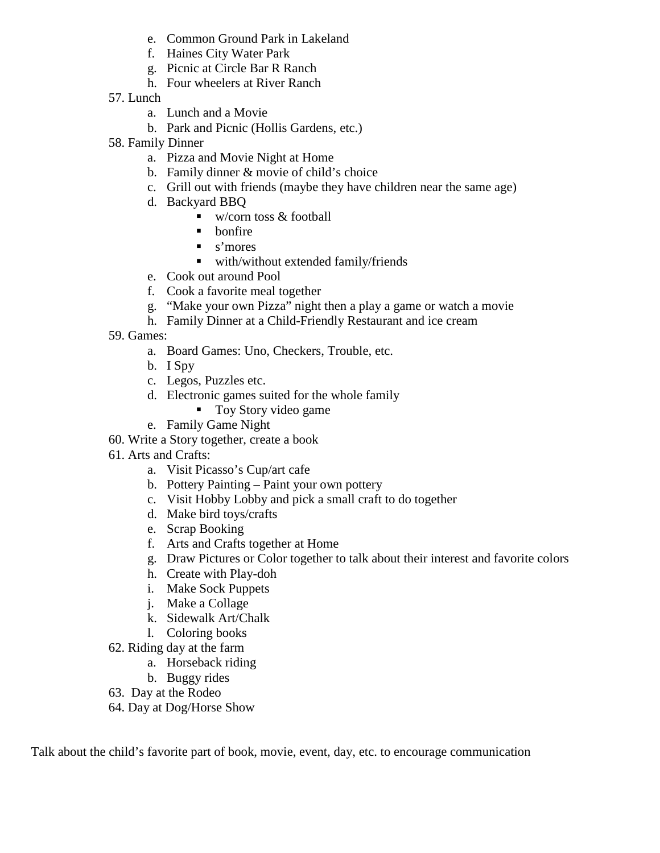- e. Common Ground Park in Lakeland
- f. Haines City Water Park
- g. Picnic at Circle Bar R Ranch
- h. Four wheelers at River Ranch
- 57. Lunch
	- a. Lunch and a Movie
	- b. Park and Picnic (Hollis Gardens, etc.)
- 58. Family Dinner
	- a. Pizza and Movie Night at Home
	- b. Family dinner & movie of child's choice
	- c. Grill out with friends (maybe they have children near the same age)
	- d. Backyard BBQ
		- $\blacksquare$  w/corn toss & football
		- $\blacksquare$  bonfire
		- s'mores
		- with/without extended family/friends
	- e. Cook out around Pool
	- f. Cook a favorite meal together
	- g. "Make your own Pizza" night then a play a game or watch a movie
	- h. Family Dinner at a Child-Friendly Restaurant and ice cream
- 59. Games:
	- a. Board Games: Uno, Checkers, Trouble, etc.
	- b. I Spy
	- c. Legos, Puzzles etc.
	- d. Electronic games suited for the whole family
		- Toy Story video game
	- e. Family Game Night
- 60. Write a Story together, create a book
- 61. Arts and Crafts:
	- a. Visit Picasso's Cup/art cafe
	- b. Pottery Painting Paint your own pottery
	- c. Visit Hobby Lobby and pick a small craft to do together
	- d. Make bird toys/crafts
	- e. Scrap Booking
	- f. Arts and Crafts together at Home
	- g. Draw Pictures or Color together to talk about their interest and favorite colors
	- h. Create with Play-doh
	- i. Make Sock Puppets
	- j. Make a Collage
	- k. Sidewalk Art/Chalk
	- l. Coloring books
- 62. Riding day at the farm
	- a. Horseback riding
	- b. Buggy rides
- 63. Day at the Rodeo
- 64. Day at Dog/Horse Show

Talk about the child's favorite part of book, movie, event, day, etc. to encourage communication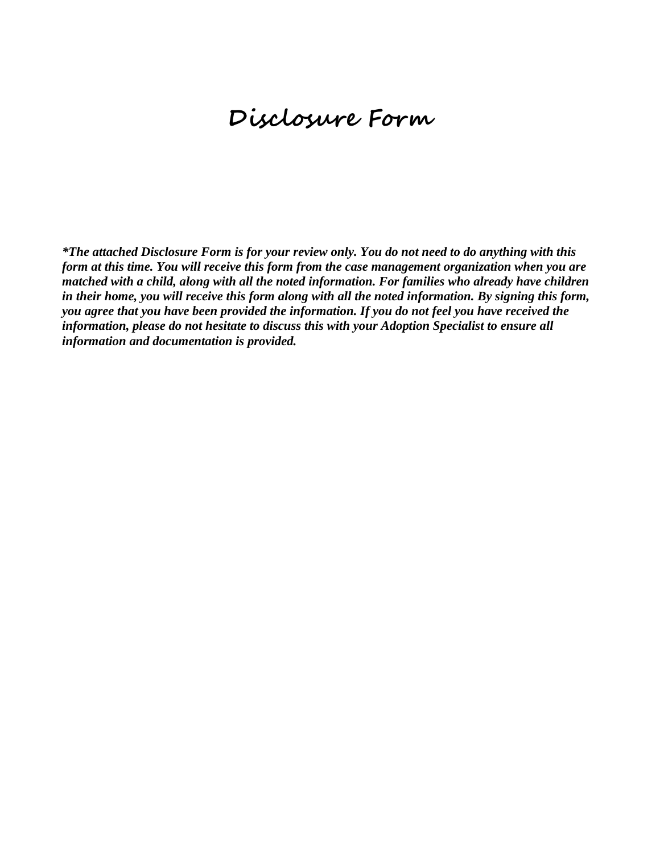## **Disclosure Form**

*\*The attached Disclosure Form is for your review only. You do not need to do anything with this form at this time. You will receive this form from the case management organization when you are matched with a child, along with all the noted information. For families who already have children in their home, you will receive this form along with all the noted information. By signing this form, you agree that you have been provided the information. If you do not feel you have received the information, please do not hesitate to discuss this with your Adoption Specialist to ensure all information and documentation is provided.*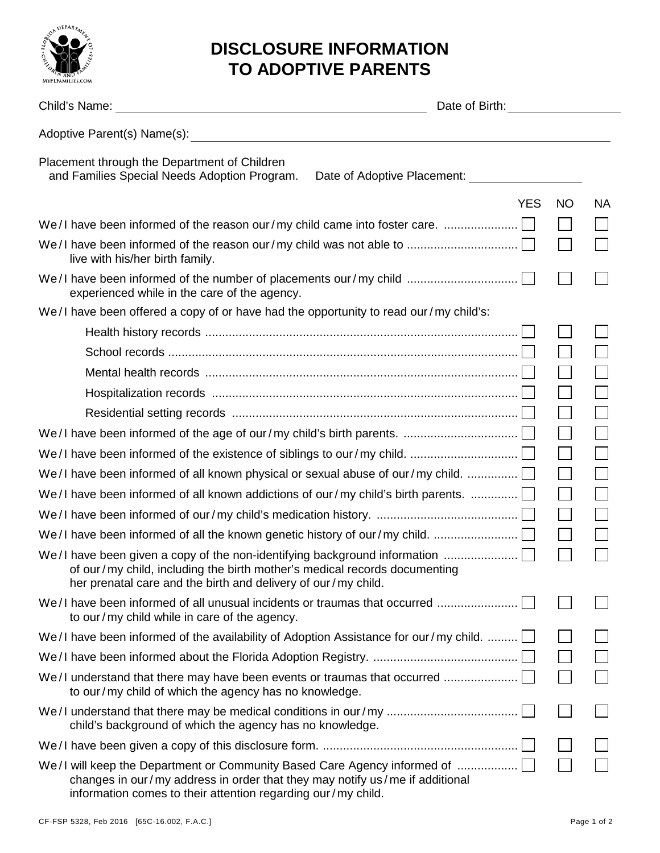

## **DISCLOSURE INFORMATION TO ADOPTIVE PARENTS**

|                                                                                                                                                                                                                                  | Date of Birth: New York 1996 |            |                   |           |
|----------------------------------------------------------------------------------------------------------------------------------------------------------------------------------------------------------------------------------|------------------------------|------------|-------------------|-----------|
| Adoptive Parent(s) Name(s): Adoptive Parent (s) Name(s):                                                                                                                                                                         |                              |            |                   |           |
| Placement through the Department of Children<br>and Families Special Needs Adoption Program.                                                                                                                                     | Date of Adoptive Placement:  |            |                   |           |
|                                                                                                                                                                                                                                  |                              | <b>YES</b> | <b>NO</b>         | <b>NA</b> |
| We/I have been informed of the reason our/my child came into foster care.                                                                                                                                                        |                              |            |                   |           |
| live with his/her birth family.                                                                                                                                                                                                  |                              |            |                   |           |
| We/I have been informed of the number of placements our/my child<br>experienced while in the care of the agency.                                                                                                                 |                              |            |                   |           |
| We/I have been offered a copy of or have had the opportunity to read our/my child's:                                                                                                                                             |                              |            |                   |           |
|                                                                                                                                                                                                                                  |                              |            |                   |           |
|                                                                                                                                                                                                                                  |                              |            |                   |           |
|                                                                                                                                                                                                                                  |                              |            |                   |           |
|                                                                                                                                                                                                                                  |                              |            |                   |           |
|                                                                                                                                                                                                                                  |                              |            |                   |           |
|                                                                                                                                                                                                                                  |                              |            |                   |           |
|                                                                                                                                                                                                                                  |                              |            |                   |           |
| We/I have been informed of all known physical or sexual abuse of our/my child. $\ldots$                                                                                                                                          |                              |            |                   |           |
| We/I have been informed of all known addictions of our/my child's birth parents. $\ldots$                                                                                                                                        |                              |            | $\mathbf{L}$      |           |
|                                                                                                                                                                                                                                  |                              |            |                   |           |
|                                                                                                                                                                                                                                  |                              |            | $\vert \ \ \vert$ |           |
| We/I have been given a copy of the non-identifying background information $\ldots$<br>of our/my child, including the birth mother's medical records documenting<br>her prenatal care and the birth and delivery of our/my child. |                              |            |                   |           |
| We/I have been informed of all unusual incidents or traumas that occurred<br>to our/my child while in care of the agency.                                                                                                        |                              |            |                   |           |
| We/I have been informed of the availability of Adoption Assistance for our/my child.                                                                                                                                             |                              |            |                   |           |
|                                                                                                                                                                                                                                  |                              |            |                   |           |
| We/I understand that there may have been events or traumas that occurred<br>to our/my child of which the agency has no knowledge.                                                                                                |                              |            |                   |           |
| child's background of which the agency has no knowledge.                                                                                                                                                                         |                              |            |                   |           |
|                                                                                                                                                                                                                                  |                              |            |                   |           |
| We/I will keep the Department or Community Based Care Agency informed of<br>changes in our/my address in order that they may notify us/me if additional<br>information comes to their attention regarding our/my child.          |                              |            |                   |           |